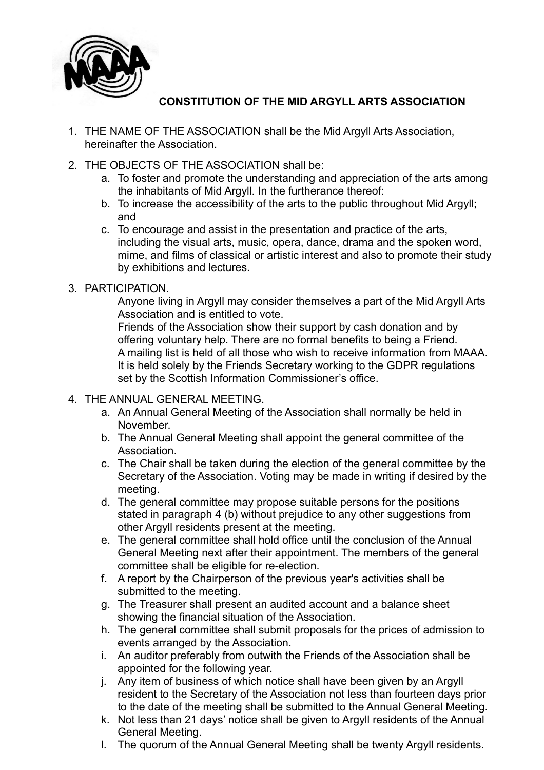

## **CONSTITUTION OF THE MID ARGYLL ARTS ASSOCIATION**

- 1. THE NAME OF THE ASSOCIATION shall be the Mid Argyll Arts Association, hereinafter the Association.
- 2. THE OBJECTS OF THE ASSOCIATION shall be:
	- a. To foster and promote the understanding and appreciation of the arts among the inhabitants of Mid Argyll. In the furtherance thereof:
	- b. To increase the accessibility of the arts to the public throughout Mid Argyll; and
	- c. To encourage and assist in the presentation and practice of the arts, including the visual arts, music, opera, dance, drama and the spoken word, mime, and films of classical or artistic interest and also to promote their study by exhibitions and lectures.
- 3. PARTICIPATION.

Anyone living in Argyll may consider themselves a part of the Mid Argyll Arts Association and is entitled to vote.

Friends of the Association show their support by cash donation and by offering voluntary help. There are no formal benefits to being a Friend. A mailing list is held of all those who wish to receive information from MAAA. It is held solely by the Friends Secretary working to the GDPR regulations set by the Scottish Information Commissioner's office.

- 4. THE ANNUAL GENERAL MEETING.
	- a. An Annual General Meeting of the Association shall normally be held in November.
	- b. The Annual General Meeting shall appoint the general committee of the Association.
	- c. The Chair shall be taken during the election of the general committee by the Secretary of the Association. Voting may be made in writing if desired by the meeting.
	- d. The general committee may propose suitable persons for the positions stated in paragraph 4 (b) without prejudice to any other suggestions from other Argyll residents present at the meeting.
	- e. The general committee shall hold office until the conclusion of the Annual General Meeting next after their appointment. The members of the general committee shall be eligible for re-election.
	- f. A report by the Chairperson of the previous year's activities shall be submitted to the meeting.
	- g. The Treasurer shall present an audited account and a balance sheet showing the financial situation of the Association.
	- h. The general committee shall submit proposals for the prices of admission to events arranged by the Association.
	- i. An auditor preferably from outwith the Friends of the Association shall be appointed for the following year.
	- j. Any item of business of which notice shall have been given by an Argyll resident to the Secretary of the Association not less than fourteen days prior to the date of the meeting shall be submitted to the Annual General Meeting.
	- k. Not less than 21 days' notice shall be given to Argyll residents of the Annual General Meeting.
	- l. The quorum of the Annual General Meeting shall be twenty Argyll residents.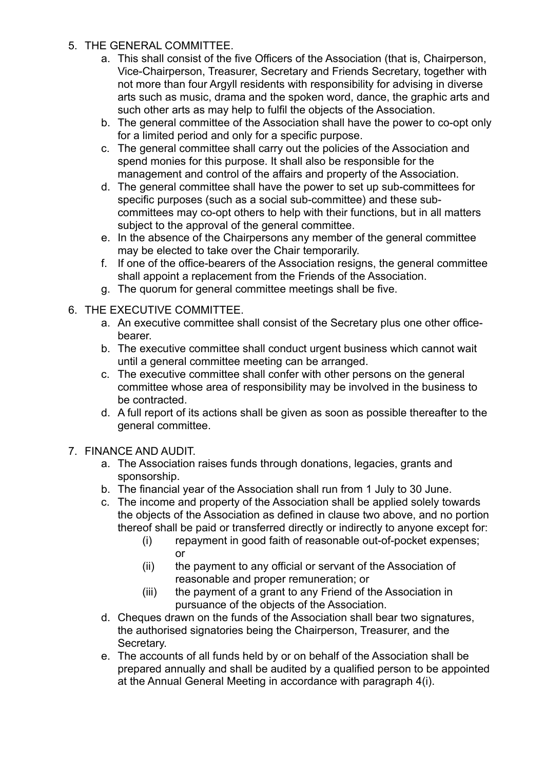- 5. THE GENERAL COMMITTEE.
	- a. This shall consist of the five Officers of the Association (that is, Chairperson, Vice-Chairperson, Treasurer, Secretary and Friends Secretary, together with not more than four Argyll residents with responsibility for advising in diverse arts such as music, drama and the spoken word, dance, the graphic arts and such other arts as may help to fulfil the objects of the Association.
	- b. The general committee of the Association shall have the power to co-opt only for a limited period and only for a specific purpose.
	- c. The general committee shall carry out the policies of the Association and spend monies for this purpose. It shall also be responsible for the management and control of the affairs and property of the Association.
	- d. The general committee shall have the power to set up sub-committees for specific purposes (such as a social sub-committee) and these subcommittees may co-opt others to help with their functions, but in all matters subject to the approval of the general committee.
	- e. In the absence of the Chairpersons any member of the general committee may be elected to take over the Chair temporarily.
	- f. If one of the office-bearers of the Association resigns, the general committee shall appoint a replacement from the Friends of the Association.
	- g. The quorum for general committee meetings shall be five.
- 6. THE EXECUTIVE COMMITTEE.
	- a. An executive committee shall consist of the Secretary plus one other officebearer.
	- b. The executive committee shall conduct urgent business which cannot wait until a general committee meeting can be arranged.
	- c. The executive committee shall confer with other persons on the general committee whose area of responsibility may be involved in the business to be contracted.
	- d. A full report of its actions shall be given as soon as possible thereafter to the general committee.

## 7. FINANCE AND AUDIT.

- a. The Association raises funds through donations, legacies, grants and sponsorship.
- b. The financial year of the Association shall run from 1 July to 30 June.
- c. The income and property of the Association shall be applied solely towards the objects of the Association as defined in clause two above, and no portion thereof shall be paid or transferred directly or indirectly to anyone except for:
	- (i) repayment in good faith of reasonable out-of-pocket expenses; or
	- (ii) the payment to any official or servant of the Association of reasonable and proper remuneration; or
	- (iii) the payment of a grant to any Friend of the Association in pursuance of the objects of the Association.
- d. Cheques drawn on the funds of the Association shall bear two signatures, the authorised signatories being the Chairperson, Treasurer, and the Secretary.
- e. The accounts of all funds held by or on behalf of the Association shall be prepared annually and shall be audited by a qualified person to be appointed at the Annual General Meeting in accordance with paragraph 4(i).